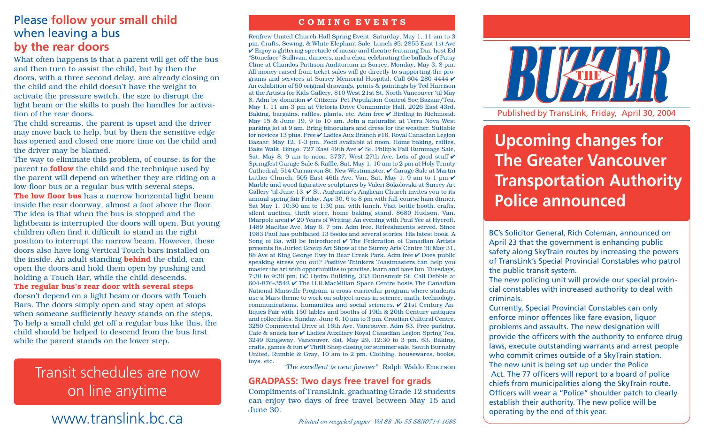## Please **follow your small child** when leaving a bus **by the rear doors**

What often happens is that a parent will get off the bus and then turn to assist the child, but by then the doors, with a three second delay, are already closing on the child and the child doesn't have the weight to activate the pressure switch, the size to disrupt the light beam or the skills to push the handles for activation of the rear doors.

The child screams, the parent is upset and the driver may move back to help, but by then the sensitive edge has opened and closed one more time on the child and the driver may be blamed.

The way to eliminate this problem, of course, is for the parent to **follow** the child and the technique used by the parent will depend on whether they are riding on a low-floor bus or a regular bus with several steps. **The low floor bus** has a narrow horizontal light beam inside the rear doorway, almost a foot above the floor. The idea is that when the bus is stopped and the lightbeam is interrupted the doors will open. But young children often find it difficult to stand in the right position to interrupt the narrow beam. However, these doors also have long Vertical Touch bars installed on the inside. An adult standing **behind** the child, can open the doors and hold them open by pushing and holding a Touch Bar, while the child descends. **The regular bus's rear door with several steps**

doesn't depend on a light beam or doors with Touch Bars. The doors simply open and stay open at stops when someone sufficiently heavy stands on the steps. To help a small child get off a regular bus like this, the child should be helped to descend from the bus first while the parent stands on the lower step.

# Transit schedules are now on line anytime

# **operating by the end of this year.**<br>MWW.translink.bc.ca

#### **C O M I N G E V E N T S**

Renfrew United Church Hall Spring Event, Saturday, May 1, 11 am to 3 pm. Crafts, Sewing, & White Elephant Sale. Lunch \$5. 2855 East 1st Ave  $\checkmark$  Enjoy a glittering spectacle of music and theatre featuring Dia, host Ed "Stoneface" Sullivan, dancers, and a choir celebrating the ballads of Patsy Cline at Chandos Pattison Auditorium in Surrey, Monday, May 3, 8 pm. All money raised from ticket sales will go directly to supporting the programs and services at Surrey Memorial Hospital. Call 604-280-4444  $\checkmark$ An exhibition of 50 original drawings, prints & paintings by Ted Harrison at the Artists for Kids Gallery, 810 West 21st St, North Vancouver 'til May 8. Adm by donation ✔ Citizens' Pet Population Control Soc.Bazaar/Tea, May 1, 11 am-3 pm at Victoria Drive Community Hall, 2026 East 43rd. Baking, bargains, raffles, plants, etc. Adm free ✔ Birding in Richmond, May 15 & June 19, 9 to 10 am. Join a naturalist at Terra Nova West parking lot at 9 am. Bring binoculars and dress for the weather. Suitable for novices 13 plus, Free ✔ Ladies Aux Branch #16, Royal Canadian Legion Bazaar, May 12, 1-3 pm. Food available at noon. Home baking, raffles, Bake Walk, Bingo. 727 East 49th Ave ✔ St. Philip's Fall Rummage Sale, Sat, May 8, 9 am to noon. 3737, West 27th Ave. Lots of good stuff  $\checkmark$ Springfest Garage Sale & Raffle, Sat, May 1, 10 am to 2 pm at Holy Trinity Cathedral, 514 Carnarvon St, New Westminster. ✔ Garage Sale at Martin Luther Church, 505 East 46th Ave, Van, Sat, May 1, 9 am to 1 pm  $\checkmark$ Marble and wood figurative sculptures by Valeri Sokolovski at Surrey Art Gallery 'til June  $13.$   $\checkmark$  St. Augustine's Anglican Church invites you to its annual spring fair Friday, Apr 30, 6 to 8 pm with full-course ham dinner. Sat May 1, 10:30 am to 1:30 pm. with lunch. Visit bottle booth, crafts, silent auction, thrift store, home baking stand. 8680 Hudson, Van. (Marpole area)  $\angle$  20 Years of Writing: An evening with Paul Yee at Hycroft, 1489 MacRae Ave, May 6, 7 pm. Adm free. Refreshments served. Since 1983 Paul has published 13 books and several stories. His latest book, A Song of Ba, will be introduced  $\vee$  The Federation of Canadian Artists presents its Juried Group Art Show at the Surrey Arts Centre 'til May 31, 88 Ave at King George Hwy in Bear Creek Park. Adm free ✔ Does public speaking stress you out? Positive Thinkers Toastmasters can help you master the art with opportunities to practise, learn and have fun. Tuesdays, 7:30 to 9:30 pm, BC Hydro Building, 333 Dunsmuir St. Call Debbie at 604-876-3542 ✔ The H.R.MacMillan Space Centre hosts The Canadian National Marsville Program, a cross-curricular program where students use a Mars theme to work on subject areas in science, math, technology, communications, humanities and social sciences. ✔ 21st Century Antiques Fair with 150 tables and booths of 19th & 20th Century antiques and collectibles. Sunday, June 6, 10 am to 3 pm. Croatian Cultural Centre, 3250 Commercial Drive at 16th Ave. Vancouver. Adm \$3. Free parking. Cafe & snack bar ✔ Ladies Auxiliary Royal Canadian Legion Spring Tea, 3249 Kingsway, Vancouver. Sat, May 29, 12:30 to 3 pm. \$3. Baking, crafts, games & fun ✔ Thrift Shop closing for summer sale, South Burnaby United, Rumble & Gray, 10 am to 2 pm. Clothing, housewares, books, toys, etc.

*"The excellent is new forever"* Ralph Waldo Emerson

#### **GRADPASS: Two days free travel for grads**

Compliments of TransLink, graduating Grade 12 students can enjoy two days of free travel between May 15 and June 30.



Published by TransLink, Friday, April 30, 2004

# **Upcoming changes for The Greater Vancouver Transportation Authority Police announced**

BC's Solicitor General, Rich Coleman, announced on April 23 that the government is enhancing public safety along SkyTrain routes by increasing the powers of TransLink's Special Provincial Constables who patrol the public transit system.

The new policing unit will provide our special provincial constables with increased authority to deal with criminals.

The new unit is being set up under the Police Act. The 77 officers will report to a board of police<br>chiefs from municipalities along the SkyTrain route. Officers will wear a "Police" shoulder patch to clearly Currently, Special Provincial Constables can only enforce minor offences like fare evasion, liquor problems and assaults. The new designation will provide the officers with the authority to enforce drug laws, execute outstanding warrants and arrest people who commit crimes outside of a SkyTrain station. Act. The 77 officers will report to a board of police establish their authority. The new police will be